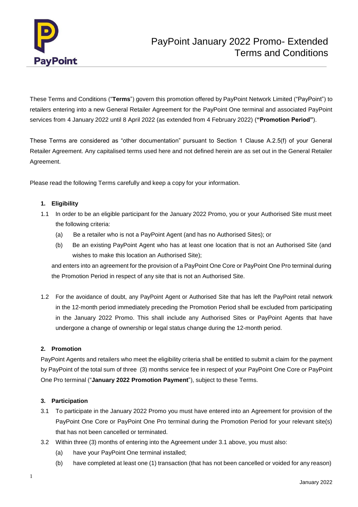

These Terms and Conditions ("**Terms**") govern this promotion offered by PayPoint Network Limited ("PayPoint") to retailers entering into a new General Retailer Agreement for the PayPoint One terminal and associated PayPoint services from 4 January 2022 until 8 April 2022 (as extended from 4 February 2022) (**"Promotion Period"**).

These Terms are considered as "other documentation" pursuant to Section 1 Clause A.2.5(f) of your General Retailer Agreement. Any capitalised terms used here and not defined herein are as set out in the General Retailer Agreement.

Please read the following Terms carefully and keep a copy for your information.

## **1. Eligibility**

- 1.1 In order to be an eligible participant for the January 2022 Promo, you or your Authorised Site must meet the following criteria:
	- (a) Be a retailer who is not a PayPoint Agent (and has no Authorised Sites); or
	- (b) Be an existing PayPoint Agent who has at least one location that is not an Authorised Site (and wishes to make this location an Authorised Site);

and enters into an agreement for the provision of a PayPoint One Core or PayPoint One Pro terminal during the Promotion Period in respect of any site that is not an Authorised Site.

1.2 For the avoidance of doubt, any PayPoint Agent or Authorised Site that has left the PayPoint retail network in the 12-month period immediately preceding the Promotion Period shall be excluded from participating in the January 2022 Promo. This shall include any Authorised Sites or PayPoint Agents that have undergone a change of ownership or legal status change during the 12-month period.

# **2. Promotion**

PayPoint Agents and retailers who meet the eligibility criteria shall be entitled to submit a claim for the payment by PayPoint of the total sum of three (3) months service fee in respect of your PayPoint One Core or PayPoint One Pro terminal ("**January 2022 Promotion Payment**"), subject to these Terms.

## **3. Participation**

- 3.1 To participate in the January 2022 Promo you must have entered into an Agreement for provision of the PayPoint One Core or PayPoint One Pro terminal during the Promotion Period for your relevant site(s) that has not been cancelled or terminated.
- 3.2 Within three (3) months of entering into the Agreement under 3.1 above, you must also:
	- (a) have your PayPoint One terminal installed;
	- (b) have completed at least one (1) transaction (that has not been cancelled or voided for any reason)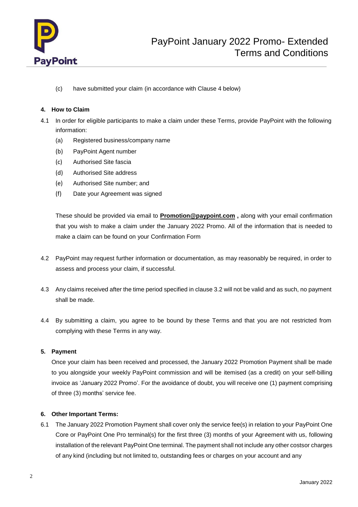

(c) have submitted your claim (in accordance with Clause 4 below)

## **4. How to Claim**

- 4.1 In order for eligible participants to make a claim under these Terms, provide PayPoint with the following information:
	- (a) Registered business/company name
	- (b) PayPoint Agent number
	- (c) Authorised Site fascia
	- (d) Authorised Site address
	- (e) Authorised Site number; and
	- (f) Date your Agreement was signed

These should be provided via email to **[Promotion@paypoint.com](mailto:Promotion@paypoint.com) ,** along with your email confirmation that you wish to make a claim under the January 2022 Promo. All of the information that is needed to make a claim can be found on your Confirmation Form

- 4.2 PayPoint may request further information or documentation, as may reasonably be required, in order to assess and process your claim, if successful.
- 4.3 Any claims received after the time period specified in clause 3.2 will not be valid and as such, no payment shall be made.
- 4.4 By submitting a claim, you agree to be bound by these Terms and that you are not restricted from complying with these Terms in any way.

## **5. Payment**

Once your claim has been received and processed, the January 2022 Promotion Payment shall be made to you alongside your weekly PayPoint commission and will be itemised (as a credit) on your self-billing invoice as 'January 2022 Promo'. For the avoidance of doubt, you will receive one (1) payment comprising of three (3) months' service fee.

## **6. Other Important Terms:**

6.1 The January 2022 Promotion Payment shall cover only the service fee(s) in relation to your PayPoint One Core or PayPoint One Pro terminal(s) for the first three (3) months of your Agreement with us, following installation of the relevant PayPoint One terminal. The payment shall not include any other costsor charges of any kind (including but not limited to, outstanding fees or charges on your account and any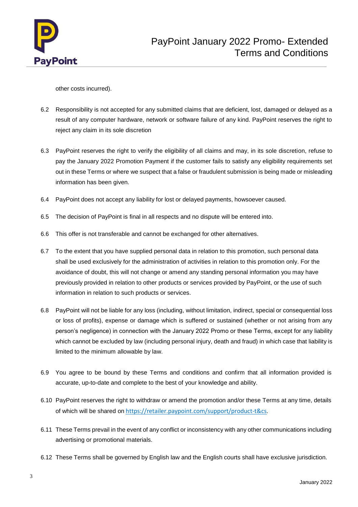

other costs incurred).

- 6.2 Responsibility is not accepted for any submitted claims that are deficient, lost, damaged or delayed as a result of any computer hardware, network or software failure of any kind. PayPoint reserves the right to reject any claim in its sole discretion
- 6.3 PayPoint reserves the right to verify the eligibility of all claims and may, in its sole discretion, refuse to pay the January 2022 Promotion Payment if the customer fails to satisfy any eligibility requirements set out in these Terms or where we suspect that a false or fraudulent submission is being made or misleading information has been given.
- 6.4 PayPoint does not accept any liability for lost or delayed payments, howsoever caused.
- 6.5 The decision of PayPoint is final in all respects and no dispute will be entered into.
- 6.6 This offer is not transferable and cannot be exchanged for other alternatives.
- 6.7 To the extent that you have supplied personal data in relation to this promotion, such personal data shall be used exclusively for the administration of activities in relation to this promotion only. For the avoidance of doubt, this will not change or amend any standing personal information you may have previously provided in relation to other products or services provided by PayPoint, or the use of such information in relation to such products or services.
- 6.8 PayPoint will not be liable for any loss (including, without limitation, indirect, special or consequential loss or loss of profits), expense or damage which is suffered or sustained (whether or not arising from any person's negligence) in connection with the January 2022 Promo or these Terms, except for any liability which cannot be excluded by law (including personal injury, death and fraud) in which case that liability is limited to the minimum allowable by law.
- 6.9 You agree to be bound by these Terms and conditions and confirm that all information provided is accurate, up-to-date and complete to the best of your knowledge and ability.
- 6.10 PayPoint reserves the right to withdraw or amend the promotion and/or these Terms at any time, details of which will be shared on [https://retailer.paypoint.com/support/product-t&cs](https://retailer.paypoint.com/support/product-t%26cs).
- 6.11 These Terms prevail in the event of any conflict or inconsistency with any other communications including advertising or promotional materials.
- 6.12 These Terms shall be governed by English law and the English courts shall have exclusive jurisdiction.